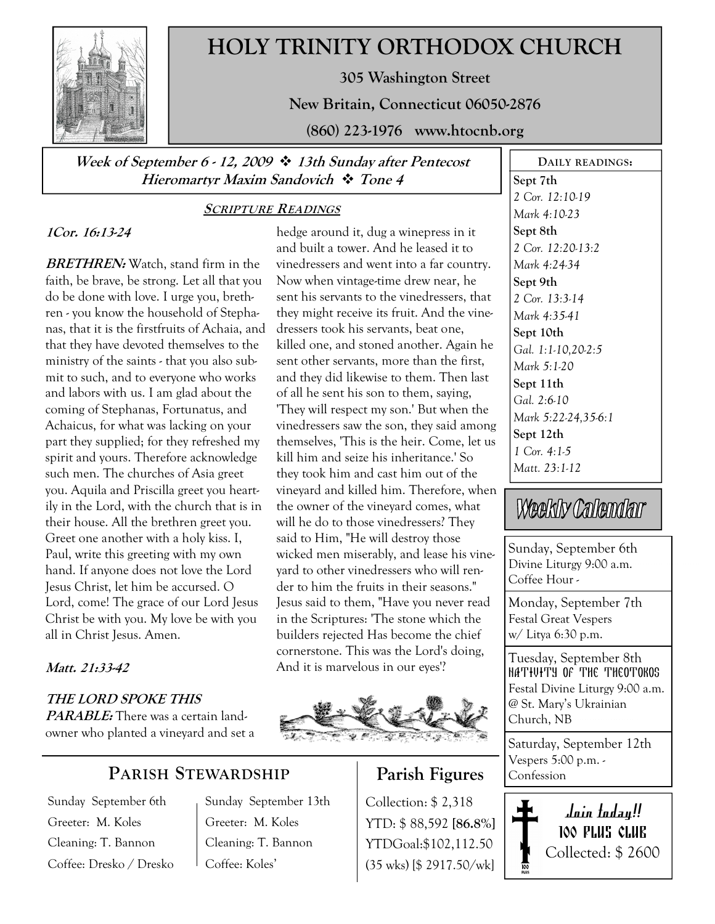

## HOLY TRINITY ORTHODOX CHURCH

305 Washington Street

New Britain, Connecticut 06050-2876

(860) 223-1976 www.htocnb.org

Week of September 6 - 12, 2009  $\cdot$  13th Sunday after Pentecost Hieromartyr Maxim Sandovich  $\cdot$  Tone 4

### SCRIPTURE READINGS

### 1Cor. 16:13-24

**BRETHREN:** Watch, stand firm in the faith, be brave, be strong. Let all that you do be done with love. I urge you, brethren - you know the household of Stephanas, that it is the firstfruits of Achaia, and that they have devoted themselves to the ministry of the saints - that you also submit to such, and to everyone who works and labors with us. I am glad about the coming of Stephanas, Fortunatus, and Achaicus, for what was lacking on your part they supplied; for they refreshed my spirit and yours. Therefore acknowledge such men. The churches of Asia greet you. Aquila and Priscilla greet you heartily in the Lord, with the church that is in their house. All the brethren greet you. Greet one another with a holy kiss. I, Paul, write this greeting with my own hand. If anyone does not love the Lord Jesus Christ, let him be accursed. O Lord, come! The grace of our Lord Jesus Christ be with you. My love be with you all in Christ Jesus. Amen.

### Matt. 21:33-42

THE LORD SPOKE THIS PARABLE: There was a certain landowner who planted a vineyard and set a

## PARISH STEWARDSHIP

Sunday September 6th Greeter: M. Koles Cleaning: T. Bannon Coffee: Dresko / Dresko Sunday September 13th Greeter: M. Koles Cleaning: T. Bannon Coffee: Koles'

hedge around it, dug a winepress in it and built a tower. And he leased it to vinedressers and went into a far country. Now when vintage-time drew near, he sent his servants to the vinedressers, that they might receive its fruit. And the vinedressers took his servants, beat one, killed one, and stoned another. Again he sent other servants, more than the first, and they did likewise to them. Then last of all he sent his son to them, saying, 'They will respect my son.' But when the vinedressers saw the son, they said among themselves, 'This is the heir. Come, let us kill him and seize his inheritance.' So they took him and cast him out of the vineyard and killed him. Therefore, when the owner of the vineyard comes, what will he do to those vinedressers? They said to Him, "He will destroy those wicked men miserably, and lease his vineyard to other vinedressers who will render to him the fruits in their seasons." Jesus said to them, "Have you never read in the Scriptures: 'The stone which the builders rejected Has become the chief cornerstone. This was the Lord's doing, And it is marvelous in our eyes'?



## Parish Figures

Collection: \$ 2,318 YTD: \$ 88,592 [86.8%] YTDGoal:\$102,112.50 (35 wks) [\$ 2917.50/wk]

Sept 7th 2 Cor. 12:10-19 Mark 4:10-23 Sept 8th 2 Cor. 12:20-13:2 Mark 4:24-34 Sept 9th 2 Cor. 13:3-14 Mark 4:35-41 Sept 10th Gal. 1:1-10,20-2:5 Mark 5:1-20 Sept 11th Gal. 2:6-10 Mark 5:22-24,35-6:1 Sept 12th 1 Cor. 4:1-5 Matt. 23:1-12

DAILY READINGS:

# Weekly Calendar

Sunday, September 6th Divine Liturgy 9:00 a.m. Coffee Hour -

Monday, September 7th Festal Great Vespers w/ Litya 6:30 p.m.

Tuesday, September 8th NATIVITY OF THE THEOTOKOS Festal Divine Liturgy 9:00 a.m. @ St. Mary's Ukrainian Church, NB

Saturday, September 12th Vespers 5:00 p.m. - Confession